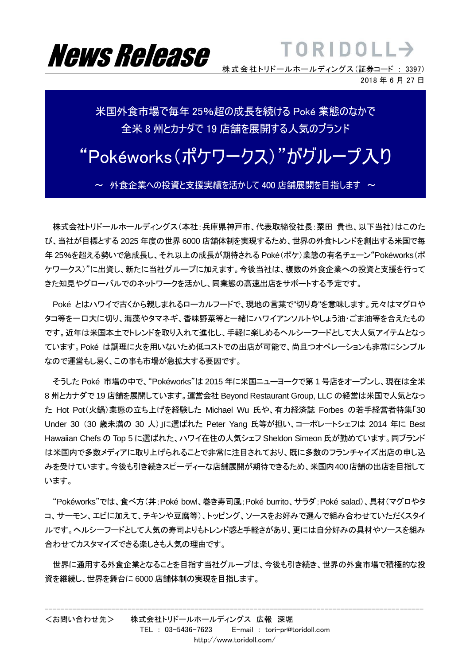

株式会社トリドールホールディングス (証券コード: 3397) 2018 年 6 月 27 日

**TORIDOLL>** 

### 米国外食市場で毎年 25%超の成長を続ける Poké 業態のなかで 全米 8 州とカナダで 19 店舗を展開する人気のブランド

## "Pokéworks(ポケワークス)"がグループ入り

~ 外食企業への投資と支援実績を活かして 400 店舗展開を目指します ~

株式会社トリドールホールディングス(本社:兵庫県神戸市、代表取締役社長:粟田 貴也、以下当社)はこのた び、当社が目標とする 2025 年度の世界 6000 店舗体制を実現するため、世界の外食トレンドを創出する米国で毎 年 25%を超える勢いで急成長し、それ以上の成長が期待される Poké(ポケ)業態の有名チェーン"Pokéworks(ポ ケワークス)"に出資し、新たに当社グループに加えます。今後当社は、複数の外食企業への投資と支援を行って きた知見やグローバルでのネットワークを活かし、同業態の高速出店をサポートする予定です。

Poké とはハワイで古くから親しまれるローカルフードで、現地の言葉で"切り身"を意味します。元々はマグロや タコ等を一口大に切り、海藻やタマネギ、香味野菜等と一緒にハワイアンソルトやしょう油・ごま油等を合えたもの です。近年は米国本土でトレンドを取り入れて進化し、手軽に楽しめるヘルシーフードとして大人気アイテムとなっ ています。Poké は調理に火を用いないため低コストでの出店が可能で、尚且つオペレーションも非常にシンプル なので運営もし易く、この事も市場が急拡大する要因です。

そうした Poké 市場の中で、"Pokéworks"は 2015 年に米国ニューヨークで第 1 号店をオープンし、現在は全米 8 州とカナダで 19 店舗を展開しています。運営会社 Beyond Restaurant Group, LLC の経営は米国で人気となっ た Hot Pot(火鍋)業態の立ち上げを経験した Michael Wu 氏や、有力経済誌 Forbes の若手経営者特集「30 Under 30 (30 歳未満の 30 人)」に選ばれた Peter Yang 氏等が担い、コーポレートシェフは 2014 年に Best Hawaiian Chefs の Top 5 に選ばれた、ハワイ在住の人気シェフ Sheldon Simeon 氏が勤めています。同ブランド は米国内で多数メディアに取り上げられることで非常に注目されており、既に多数のフランチャイズ出店の申し込 みを受けています。今後も引き続きスピーディーな店舗展開が期待できるため、米国内400店舗の出店を目指して います。

"Pokéworks"では、食べ方(丼;Poké bowl、巻き寿司風;Poké burrito、サラダ;Poké salad)、具材(マグロやタ コ、サーモン、エビに加えて、チキンや豆腐等)、トッピング、ソースをお好みで選んで組み合わせていただくスタイ ルです。ヘルシーフードとして人気の寿司よりもトレンド感と手軽さがあり、更には自分好みの具材やソースを組み 合わせてカスタマイズできる楽しさも人気の理由です。

世界に通用する外食企業となることを目指す当社グループは、今後も引き続き、世界の外食市場で積極的な投 資を継続し、世界を舞台に 6000 店舗体制の実現を目指します。

------------------------------------------------------------------------------------------------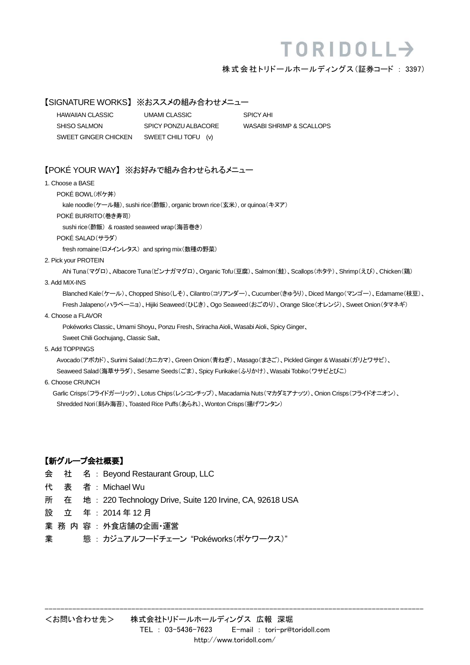## TORIDOLL-

#### 株式会社 トリドールホールディングス(証券コード : 3397)

#### 【SIGNATURE WORKS】 ※おススメの組み合わせメニュー

| HAWAIIAN CLASSIC     | UMAMI CLASSIC        | SPICY AHI                |
|----------------------|----------------------|--------------------------|
| SHISO SALMON         | SPICY PONZU ALBACORE | WASABI SHRIMP & SCALLOPS |
| SWEET GINGER CHICKEN | SWEET CHILITOFU (v)  |                          |

#### 【POKÉ YOUR WAY】 ※お好みで組み合わせられるメニュー

#### 1. Choose a BASE

POKÉ BOWL(ポケ丼)

kale noodle(ケール麺), sushi rice(酢飯), organic brown rice(玄米), or quinoa(キヌア)

POKÉ BURRITO(巻き寿司)

sushi rice(酢飯) & roasted seaweed wrap(海苔巻き)

POKÉ SALAD(サラダ)

fresh romaine(ロメインレタス) and spring mix(数種の野菜)

#### 2. Pick your PROTEIN

Ahi Tuna(マグロ)、Albacore Tuna(ビンナガマグロ)、Organic Tofu(豆腐)、Salmon(鮭)、Scallops(ホタテ)、Shrimp(えび)、Chicken(鶏)

#### 3. Add MIX-INS

Blanched Kale(ケール)、Chopped Shiso(しそ)、Cilantro(コリアンダー)、Cucumber(きゅうり)、Diced Mango(マンゴー)、Edamame(枝豆)、 Fresh Jalapeno(ハラペーニョ)、Hijiki Seaweed(ひじき)、Ogo Seaweed(おごのり)、Orange Slice(オレンジ)、Sweet Onion(タマネギ)

#### 4. Choose a FLAVOR

Pokéworks Classic、Umami Shoyu、Ponzu Fresh、Sriracha Aioli、Wasabi Aioli、Spicy Ginger、 Sweet Chili Gochujang、Classic Salt、

#### 5. Add TOPPINGS

Avocado(アボカド)、Surimi Salad(カニカマ)、Green Onion(青ねぎ)、Masago(まさご)、Pickled Ginger & Wasabi(ガリとワサビ)、 Seaweed Salad(海草サラダ)、Sesame Seeds(ごま)、Spicy Furikake(ふりかけ)、Wasabi Tobiko(ワサビとびこ)

#### 6. Choose CRUNCH

 Garlic Crisps(フライドガーリック)、Lotus Chips(レンコンチップ)、Macadamia Nuts(マカダミアナッツ)、Onion Crisps(フライドオニオン)、 Shredded Nori(刻み海苔)、Toasted Rice Puffs(あられ)、Wonton Crisps(揚げワンタン)

------------------------------------------------------------------------------------------------

#### 【新グループ会社概要】

- 会 社 名 : Beyond Restaurant Group, LLC
- 代 表 者 : Michael Wu
- 所 在 地 : 220 Technology Drive, Suite 120 Irvine, CA, 92618 USA
- 設 立 年 : 2014 年 12 月
- 業務内容: 外食店舗の企画・運営
- 業 態 : カジュアルフードチェーン "Pokéworks(ポケワークス)"